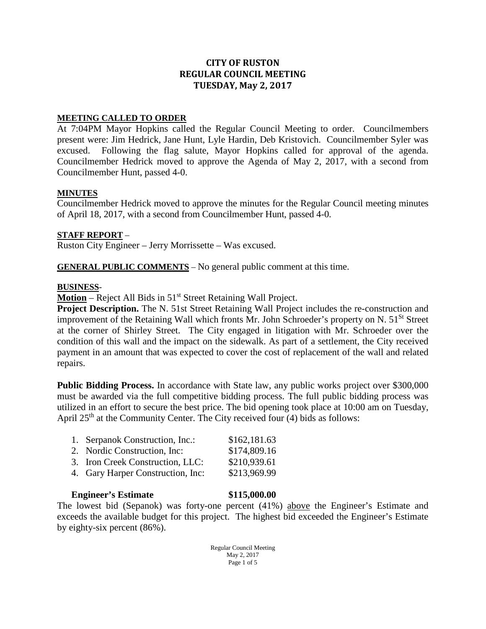# **CITY OF RUSTON REGULAR COUNCIL MEETING TUESDAY, May 2, 2017**

### **MEETING CALLED TO ORDER**

At 7:04PM Mayor Hopkins called the Regular Council Meeting to order. Councilmembers present were: Jim Hedrick, Jane Hunt, Lyle Hardin, Deb Kristovich. Councilmember Syler was excused. Following the flag salute, Mayor Hopkins called for approval of the agenda. Councilmember Hedrick moved to approve the Agenda of May 2, 2017, with a second from Councilmember Hunt, passed 4-0.

### **MINUTES**

Councilmember Hedrick moved to approve the minutes for the Regular Council meeting minutes of April 18, 2017, with a second from Councilmember Hunt, passed 4-0.

### **STAFF REPORT** –

Ruston City Engineer – Jerry Morrissette – Was excused.

**GENERAL PUBLIC COMMENTS** – No general public comment at this time.

#### **BUSINESS**-

**Motion** – Reject All Bids in 51<sup>st</sup> Street Retaining Wall Project.

**Project Description.** The N. 51st Street Retaining Wall Project includes the re-construction and improvement of the Retaining Wall which fronts Mr. John Schroeder's property on N. 51<sup>St</sup> Street at the corner of Shirley Street. The City engaged in litigation with Mr. Schroeder over the condition of this wall and the impact on the sidewalk. As part of a settlement, the City received payment in an amount that was expected to cover the cost of replacement of the wall and related repairs.

**Public Bidding Process.** In accordance with State law, any public works project over \$300,000 must be awarded via the full competitive bidding process. The full public bidding process was utilized in an effort to secure the best price. The bid opening took place at 10:00 am on Tuesday, April 25<sup>th</sup> at the Community Center. The City received four (4) bids as follows:

| 1. Serpanok Construction, Inc.:   | \$162,181.63 |
|-----------------------------------|--------------|
| 2. Nordic Construction, Inc:      | \$174,809.16 |
| 3. Iron Creek Construction, LLC:  | \$210,939.61 |
| 4. Gary Harper Construction, Inc: | \$213,969.99 |

#### **Engineer's Estimate \$115,000.00**

The lowest bid (Sepanok) was forty-one percent (41%) above the Engineer's Estimate and exceeds the available budget for this project. The highest bid exceeded the Engineer's Estimate by eighty-six percent (86%).

> Regular Council Meeting May 2, 2017 Page 1 of 5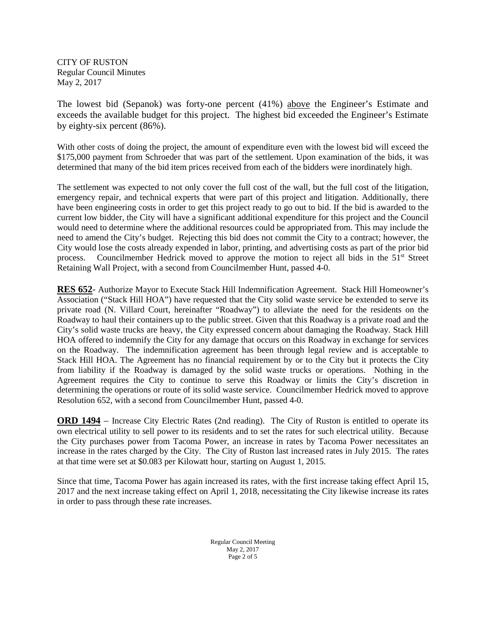The lowest bid (Sepanok) was forty-one percent (41%) above the Engineer's Estimate and exceeds the available budget for this project. The highest bid exceeded the Engineer's Estimate by eighty-six percent (86%).

With other costs of doing the project, the amount of expenditure even with the lowest bid will exceed the \$175,000 payment from Schroeder that was part of the settlement. Upon examination of the bids, it was determined that many of the bid item prices received from each of the bidders were inordinately high.

The settlement was expected to not only cover the full cost of the wall, but the full cost of the litigation, emergency repair, and technical experts that were part of this project and litigation. Additionally, there have been engineering costs in order to get this project ready to go out to bid. If the bid is awarded to the current low bidder, the City will have a significant additional expenditure for this project and the Council would need to determine where the additional resources could be appropriated from. This may include the need to amend the City's budget. Rejecting this bid does not commit the City to a contract; however, the City would lose the costs already expended in labor, printing, and advertising costs as part of the prior bid process. Councilmember Hedrick moved to approve the motion to reject all bids in the 51<sup>st</sup> Street Retaining Wall Project, with a second from Councilmember Hunt, passed 4-0.

**RES 652**- Authorize Mayor to Execute Stack Hill Indemnification Agreement. Stack Hill Homeowner's Association ("Stack Hill HOA") have requested that the City solid waste service be extended to serve its private road (N. Villard Court, hereinafter "Roadway") to alleviate the need for the residents on the Roadway to haul their containers up to the public street. Given that this Roadway is a private road and the City's solid waste trucks are heavy, the City expressed concern about damaging the Roadway. Stack Hill HOA offered to indemnify the City for any damage that occurs on this Roadway in exchange for services on the Roadway. The indemnification agreement has been through legal review and is acceptable to Stack Hill HOA. The Agreement has no financial requirement by or to the City but it protects the City from liability if the Roadway is damaged by the solid waste trucks or operations. Nothing in the Agreement requires the City to continue to serve this Roadway or limits the City's discretion in determining the operations or route of its solid waste service. Councilmember Hedrick moved to approve Resolution 652, with a second from Councilmember Hunt, passed 4-0.

**ORD 1494** – Increase City Electric Rates (2nd reading). The City of Ruston is entitled to operate its own electrical utility to sell power to its residents and to set the rates for such electrical utility. Because the City purchases power from Tacoma Power, an increase in rates by Tacoma Power necessitates an increase in the rates charged by the City. The City of Ruston last increased rates in July 2015. The rates at that time were set at \$0.083 per Kilowatt hour, starting on August 1, 2015.

Since that time, Tacoma Power has again increased its rates, with the first increase taking effect April 15, 2017 and the next increase taking effect on April 1, 2018, necessitating the City likewise increase its rates in order to pass through these rate increases.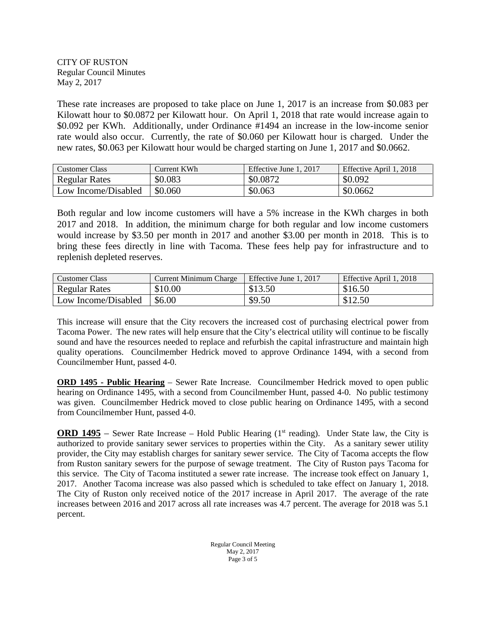These rate increases are proposed to take place on June 1, 2017 is an increase from \$0.083 per Kilowatt hour to \$0.0872 per Kilowatt hour. On April 1, 2018 that rate would increase again to \$0.092 per KWh. Additionally, under Ordinance #1494 an increase in the low-income senior rate would also occur. Currently, the rate of \$0.060 per Kilowatt hour is charged. Under the new rates, \$0.063 per Kilowatt hour would be charged starting on June 1, 2017 and \$0.0662.

| <b>Customer Class</b> | Current KWh | Effective June 1, 2017 | Effective April 1, 2018 |
|-----------------------|-------------|------------------------|-------------------------|
| <b>Regular Rates</b>  | \$0.083     | \$0.0872               | \$0.092                 |
| Low Income/Disabled   | \$0.060     | \$0.063                | \$0.0662                |

Both regular and low income customers will have a 5% increase in the KWh charges in both 2017 and 2018. In addition, the minimum charge for both regular and low income customers would increase by \$3.50 per month in 2017 and another \$3.00 per month in 2018. This is to bring these fees directly in line with Tacoma. These fees help pay for infrastructure and to replenish depleted reserves.

| Customer Class      | Current Minimum Charge | Effective June 1, 2017 | Effective April 1, 2018 |
|---------------------|------------------------|------------------------|-------------------------|
| Regular Rates       | \$10.00                | \$13.50                | \$16.50                 |
| Low Income/Disabled | \$6.00                 | \$9.50                 | \$12.50                 |

This increase will ensure that the City recovers the increased cost of purchasing electrical power from Tacoma Power. The new rates will help ensure that the City's electrical utility will continue to be fiscally sound and have the resources needed to replace and refurbish the capital infrastructure and maintain high quality operations. Councilmember Hedrick moved to approve Ordinance 1494, with a second from Councilmember Hunt, passed 4-0.

**ORD 1495 - Public Hearing** – Sewer Rate Increase. Councilmember Hedrick moved to open public hearing on Ordinance 1495, with a second from Councilmember Hunt, passed 4-0. No public testimony was given. Councilmember Hedrick moved to close public hearing on Ordinance 1495, with a second from Councilmember Hunt, passed 4-0.

**ORD 1495** – Sewer Rate Increase – Hold Public Hearing  $(1<sup>st</sup> reading)$ . Under State law, the City is authorized to provide sanitary sewer services to properties within the City. As a sanitary sewer utility provider, the City may establish charges for sanitary sewer service. The City of Tacoma accepts the flow from Ruston sanitary sewers for the purpose of sewage treatment. The City of Ruston pays Tacoma for this service. The City of Tacoma instituted a sewer rate increase. The increase took effect on January 1, 2017. Another Tacoma increase was also passed which is scheduled to take effect on January 1, 2018. The City of Ruston only received notice of the 2017 increase in April 2017. The average of the rate increases between 2016 and 2017 across all rate increases was 4.7 percent. The average for 2018 was 5.1 percent.

> Regular Council Meeting May 2, 2017 Page 3 of 5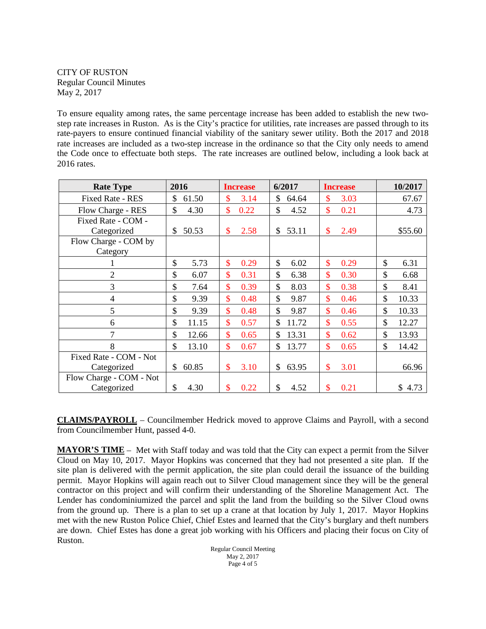To ensure equality among rates, the same percentage increase has been added to establish the new twostep rate increases in Ruston. As is the City's practice for utilities, rate increases are passed through to its rate-payers to ensure continued financial viability of the sanitary sewer utility. Both the 2017 and 2018 rate increases are included as a two-step increase in the ordinance so that the City only needs to amend the Code once to effectuate both steps. The rate increases are outlined below, including a look back at 2016 rates.

| <b>Rate Type</b>        | 2016                   | <b>Increase</b> | 6/2017                | <b>Increase</b>       | 10/2017                |
|-------------------------|------------------------|-----------------|-----------------------|-----------------------|------------------------|
| Fixed Rate - RES        | \$<br>61.50            | \$<br>3.14      | \$<br>64.64           | \$<br>3.03            | 67.67                  |
| Flow Charge - RES       | $\mathcal{S}$<br>4.30  | \$<br>0.22      | $\mathcal{S}$<br>4.52 | $\mathbf{\$}$<br>0.21 | 4.73                   |
| Fixed Rate - COM -      |                        |                 |                       |                       |                        |
| Categorized             | 50.53<br>\$.           | \$<br>2.58      | 53.11<br>\$           | \$<br>2.49            | \$55.60                |
| Flow Charge - COM by    |                        |                 |                       |                       |                        |
| Category                |                        |                 |                       |                       |                        |
|                         | \$<br>5.73             | \$<br>0.29      | \$<br>6.02            | \$<br>0.29            | \$<br>6.31             |
| $\overline{2}$          | \$<br>6.07             | \$<br>0.31      | \$<br>6.38            | \$<br>0.30            | \$<br>6.68             |
| 3                       | \$<br>7.64             | \$<br>0.39      | \$<br>8.03            | \$<br>0.38            | \$<br>8.41             |
| $\overline{4}$          | \$<br>9.39             | \$<br>0.48      | \$<br>9.87            | \$<br>0.46            | \$<br>10.33            |
| 5                       | \$<br>9.39             | \$<br>0.48      | \$<br>9.87            | \$<br>0.46            | $\mathcal{S}$<br>10.33 |
| 6                       | $\mathcal{S}$<br>11.15 | \$<br>0.57      | \$<br>11.72           | \$<br>0.55            | $\mathcal{S}$<br>12.27 |
| 7                       | \$<br>12.66            | \$<br>0.65      | \$<br>13.31           | \$<br>0.62            | $\mathcal{S}$<br>13.93 |
| 8                       | \$<br>13.10            | \$<br>0.67      | \$<br>13.77           | \$<br>0.65            | \$<br>14.42            |
| Fixed Rate - COM - Not  |                        |                 |                       |                       |                        |
| Categorized             | 60.85<br>\$            | \$<br>3.10      | 63.95<br>\$           | \$<br>3.01            | 66.96                  |
| Flow Charge - COM - Not |                        |                 |                       |                       |                        |
| Categorized             | \$<br>4.30             | \$<br>0.22      | \$<br>4.52            | \$<br>0.21            | \$<br>4.73             |

**CLAIMS/PAYROLL** – Councilmember Hedrick moved to approve Claims and Payroll, with a second from Councilmember Hunt, passed 4-0.

**MAYOR'S TIME** – Met with Staff today and was told that the City can expect a permit from the Silver Cloud on May 10, 2017. Mayor Hopkins was concerned that they had not presented a site plan. If the site plan is delivered with the permit application, the site plan could derail the issuance of the building permit. Mayor Hopkins will again reach out to Silver Cloud management since they will be the general contractor on this project and will confirm their understanding of the Shoreline Management Act. The Lender has condominiumized the parcel and split the land from the building so the Silver Cloud owns from the ground up. There is a plan to set up a crane at that location by July 1, 2017. Mayor Hopkins met with the new Ruston Police Chief, Chief Estes and learned that the City's burglary and theft numbers are down. Chief Estes has done a great job working with his Officers and placing their focus on City of Ruston.

Regular Council Meeting May 2, 2017 Page 4 of 5